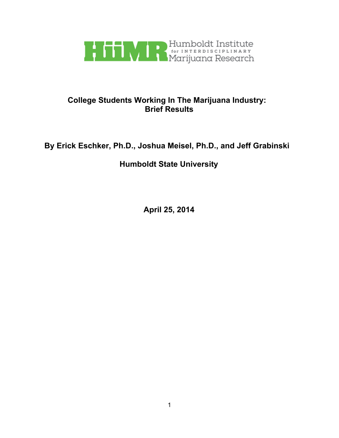

# **College Students Working In The Marijuana Industry: Brief Results**

# **By Erick Eschker, Ph.D., Joshua Meisel, Ph.D., and Jeff Grabinski**

# **Humboldt State University**

**April 25, 2014**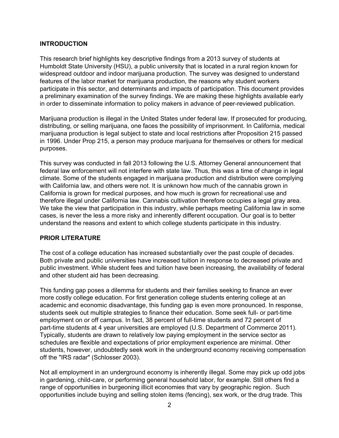### **INTRODUCTION**

This research brief highlights key descriptive findings from a 2013 survey of students at Humboldt State University (HSU), a public university that is located in a rural region known for widespread outdoor and indoor marijuana production. The survey was designed to understand features of the labor market for marijuana production, the reasons why student workers participate in this sector, and determinants and impacts of participation. This document provides a preliminary examination of the survey findings. We are making these highlights available early in order to disseminate information to policy makers in advance of peer-reviewed publication.

Marijuana production is illegal in the United States under federal law. If prosecuted for producing, distributing, or selling marijuana, one faces the possibility of imprisonment. In California, medical marijuana production is legal subject to state and local restrictions after Proposition 215 passed in 1996. Under Prop 215, a person may produce marijuana for themselves or others for medical purposes.

This survey was conducted in fall 2013 following the U.S. Attorney General announcement that federal law enforcement will not interfere with state law. Thus, this was a time of change in legal climate. Some of the students engaged in marijuana production and distribution were complying with California law, and others were not. It is unknown how much of the cannabis grown in California is grown for medical purposes, and how much is grown for recreational use and therefore illegal under California law. Cannabis cultivation therefore occupies a legal gray area. We take the view that participation in this industry, while perhaps meeting California law in some cases, is never the less a more risky and inherently different occupation. Our goal is to better understand the reasons and extent to which college students participate in this industry.

### **PRIOR LITERATURE**

The cost of a college education has increased substantially over the past couple of decades. Both private and public universities have increased tuition in response to decreased private and public investment. While student fees and tuition have been increasing, the availability of federal and other student aid has been decreasing.

This funding gap poses a dilemma for students and their families seeking to finance an ever more costly college education. For first generation college students entering college at an academic and economic disadvantage, this funding gap is even more pronounced. In response, students seek out multiple strategies to finance their education. Some seek full- or part-time employment on or off campus. In fact, 38 percent of full-time students and 72 percent of part-time students at 4 year universities are employed (U.S. Department of Commerce 2011). Typically, students are drawn to relatively low paying employment in the service sector as schedules are flexible and expectations of prior employment experience are minimal. Other students, however, undoubtedly seek work in the underground economy receiving compensation off the "IRS radar" (Schlosser 2003).

Not all employment in an underground economy is inherently illegal. Some may pick up odd jobs in gardening, child-care, or performing general household labor, for example. Still others find a range of opportunities in burgeoning illicit economies that vary by geographic region. Such opportunities include buying and selling stolen items (fencing), sex work, or the drug trade. This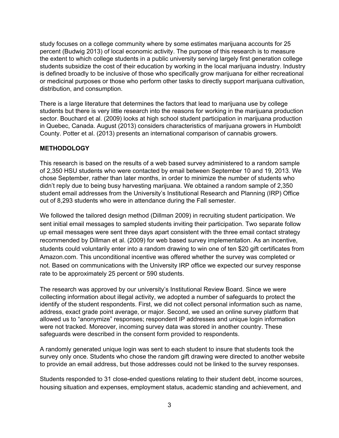study focuses on a college community where by some estimates marijuana accounts for 25 percent (Budwig 2013) of local economic activity. The purpose of this research is to measure the extent to which college students in a public university serving largely first generation college students subsidize the cost of their education by working in the local marijuana industry. Industry is defined broadly to be inclusive of those who specifically grow marijuana for either recreational or medicinal purposes or those who perform other tasks to directly support marijuana cultivation, distribution, and consumption.

There is a large literature that determines the factors that lead to marijuana use by college students but there is very little research into the reasons for working in the marijuana production sector. Bouchard et al. (2009) looks at high school student participation in marijuana production in Quebec, Canada. August (2013) considers characteristics of marijuana growers in Humboldt County. Potter et al. (2013) presents an international comparison of cannabis growers.

## **METHODOLOGY**

This research is based on the results of a web based survey administered to a random sample of 2,350 HSU students who were contacted by email between September 10 and 19, 2013. We chose September, rather than later months, in order to minimize the number of students who didn't reply due to being busy harvesting marijuana. We obtained a random sample of 2,350 student email addresses from the University's Institutional Research and Planning (IRP) Office out of 8,293 students who were in attendance during the Fall semester.

We followed the tailored design method (Dillman 2009) in recruiting student participation. We sent initial email messages to sampled students inviting their participation. Two separate follow up email messages were sent three days apart consistent with the three email contact strategy recommended by Dillman et al. (2009) for web based survey implementation. As an incentive, students could voluntarily enter into a random drawing to win one of ten \$20 gift certificates from Amazon.com. This unconditional incentive was offered whether the survey was completed or not. Based on communications with the University IRP office we expected our survey response rate to be approximately 25 percent or 590 students.

The research was approved by our university's Institutional Review Board. Since we were collecting information about illegal activity, we adopted a number of safeguards to protect the identify of the student respondents. First, we did not collect personal information such as name, address, exact grade point average, or major. Second, we used an online survey platform that allowed us to "anonymize" responses; respondent IP addresses and unique login information were not tracked. Moreover, incoming survey data was stored in another country. These safeguards were described in the consent form provided to respondents.

A randomly generated unique login was sent to each student to insure that students took the survey only once. Students who chose the random gift drawing were directed to another website to provide an email address, but those addresses could not be linked to the survey responses.

Students responded to 31 close-ended questions relating to their student debt, income sources, housing situation and expenses, employment status, academic standing and achievement, and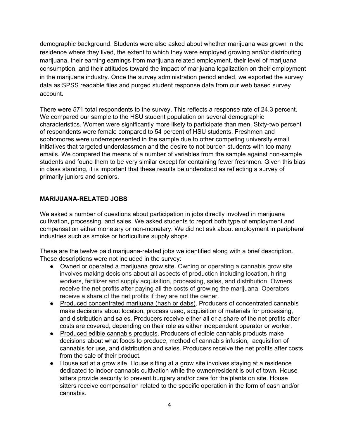demographic background. Students were also asked about whether marijuana was grown in the residence where they lived, the extent to which they were employed growing and/or distributing marijuana, their earning earnings from marijuana related employment, their level of marijuana consumption, and their attitudes toward the impact of marijuana legalization on their employment in the marijuana industry. Once the survey administration period ended, we exported the survey data as SPSS readable files and purged student response data from our web based survey account.

There were 571 total respondents to the survey. This reflects a response rate of 24.3 percent. We compared our sample to the HSU student population on several demographic characteristics. Women were significantly more likely to participate than men. Sixty-two percent of respondents were female compared to 54 percent of HSU students. Freshmen and sophomores were underrepresented in the sample due to other competing university email initiatives that targeted underclassmen and the desire to not burden students with too many emails. We compared the means of a number of variables from the sample against non-sample students and found them to be very similar except for containing fewer freshmen. Given this bias in class standing, it is important that these results be understood as reflecting a survey of primarily juniors and seniors.

# **MARIJUANARELATED JOBS**

We asked a number of questions about participation in jobs directly involved in marijuana cultivation, processing, and sales. We asked students to report both type of employment.and compensation either monetary or non-monetary. We did not ask about employment in peripheral industries such as smoke or horticulture supply shops.

These are the twelve paid marijuana-related jobs we identified along with a brief description. These descriptions were not included in the survey:

- Owned or operated a marijuana grow site. Owning or operating a cannabis grow site involves making decisions about all aspects of production including location, hiring workers, fertilizer and supply acquisition, processing, sales, and distribution. Owners receive the net profits after paying all the costs of growing the marijuana. Operators receive a share of the net profits if they are not the owner.
- Produced concentrated marijuana (hash or dabs). Producers of concentrated cannabis make decisions about location, process used, acquisition of materials for processing, and distribution and sales. Producers receive either all or a share of the net profits after costs are covered, depending on their role as either independent operator or worker.
- Produced edible cannabis products. Producers of edible cannabis products make decisions about what foods to produce, method of cannabis infusion, acquisition of cannabis for use, and distribution and sales. Producers receive the net profits after costs from the sale of their product.
- House sat at a grow site. House sitting at a grow site involves staying at a residence dedicated to indoor cannabis cultivation while the owner/resident is out of town. House sitters provide security to prevent burglary and/or care for the plants on site. House sitters receive compensation related to the specific operation in the form of cash and/or cannabis.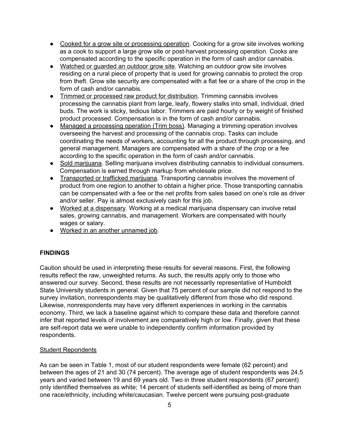- Cooked for a grow site or processing operation. Cooking for a grow site involves working as a cook to support a large grow site or post-harvest processing operation. Cooks are compensated according to the specific operation in the form of cash and/or cannabis.
- Watched or guarded an outdoor grow site. Watching an outdoor grow site involves residing on a rural piece of property that is used for growing cannabis to protect the crop from theft. Grow site security are compensated with a flat fee or a share of the crop in the form of cash and/or cannabis.
- Trimmed or processed raw product for distribution. Trimming cannabis involves processing the cannabis plant from large, leafy, flowery stalks into small, individual, dried buds. The work is sticky, tedious labor. Trimmers are paid hourly or by weight of finished product processed. Compensation is in the form of cash and/or cannabis.
- Managed a processing operation (Trim boss). Managing a trimming operation involves overseeing the harvest and processing of the cannabis crop. Tasks can include coordinating the needs of workers, accounting for all the product through processing, and general management. Managers are compensated with a share of the crop or a fee according to the specific operation in the form of cash and/or cannabis.
- Sold marijuana. Selling marijuana involves distributing cannabis to individual consumers. Compensation is earned through markup from wholesale price.
- Transported or trafficked marijuana. Transporting cannabis involves the movement of product from one region to another to obtain a higher price. Those transporting cannabis can be compensated with a fee or the net profits from sales based on one's role as driver and/or seller. Pay is almost exclusively cash for this job.
- Worked at a dispensary. Working at a medical marijuana dispensary can involve retail sales, growing cannabis, and management. Workers are compensated with hourly wages or salary.
- Worked in an another unnamed job.

# **FINDINGS**

Caution should be used in interpreting these results for several reasons. First, the following results reflect the raw, unweighted returns. As such, the results apply only to those who answered our survey. Second, these results are not necessarily representative of Humboldt State University students in general. Given that 75 percent of our sample did not respond to the survey invitation, nonrespondents may be qualitatively different from those who did respond. Likewise, nonrespondents may have very different experiences in working in the cannabis economy. Third, we lack a baseline against which to compare these data and therefore cannot infer that reported levels of involvement are comparatively high or low. Finally, given that these are self-report data we were unable to independently confirm information provided by respondents.

### Student Repondents

As can be seen in Table 1, most of our student respondents were female (62 percent) and between the ages of 21 and 30 (74 percent). The average age of student respondents was 24.5 years and varied between 19 and 69 years old. Two in three student respondents (67 percent) only identified themselves as white; 14 percent of students self-identified as being of more than one race/ethnicity, including white/caucasian. Twelve percent were pursuing post-graduate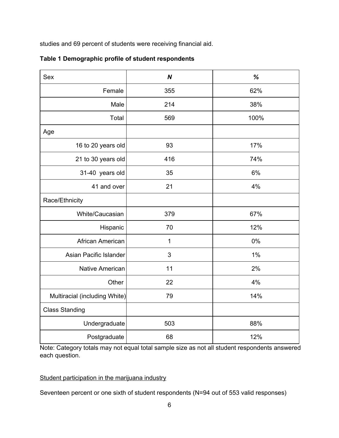studies and 69 percent of students were receiving financial aid.

| Sex                           | $\boldsymbol{N}$ | $\%$ |
|-------------------------------|------------------|------|
| Female                        | 355              | 62%  |
| Male                          | 214              | 38%  |
| Total                         | 569              | 100% |
| Age                           |                  |      |
| 16 to 20 years old            | 93               | 17%  |
| 21 to 30 years old            | 416              | 74%  |
| 31-40 years old               | 35               | 6%   |
| 41 and over                   | 21               | 4%   |
| Race/Ethnicity                |                  |      |
| White/Caucasian               | 379              | 67%  |
| Hispanic                      | 70               | 12%  |
| African American              | 1                | 0%   |
| Asian Pacific Islander        | 3                | 1%   |
| Native American               | 11               | 2%   |
| Other                         | 22               | 4%   |
| Multiracial (including White) | 79               | 14%  |
| <b>Class Standing</b>         |                  |      |
| Undergraduate                 | 503              | 88%  |
| Postgraduate                  | 68               | 12%  |

**Table 1 Demographic profile of student respondents**

Note: Category totals may not equal total sample size as not all student respondents answered each question.

# Student participation in the marijuana industry

Seventeen percent or one sixth of student respondents (N=94 out of 553 valid responses)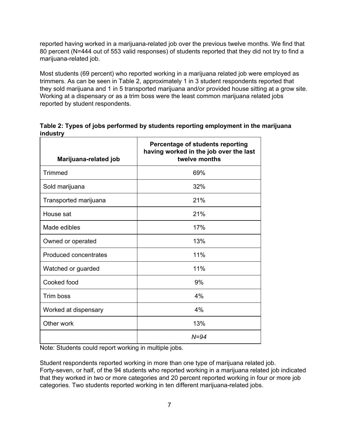reported having worked in a marijuana-related job over the previous twelve months. We find that 80 percent (N=444 out of 553 valid responses) of students reported that they did not try to find a marijuana-related job.

Most students (69 percent) who reported working in a marijuana related job were employed as trimmers. As can be seen in Table 2, approximately 1 in 3 student respondents reported that they sold marijuana and 1 in 5 transported marijuana and/or provided house sitting at a grow site. Working at a dispensary or as a trim boss were the least common marijuana related jobs reported by student respondents.

**Table 2: Types of jobs performed by students reporting employment in the marijuana industry**

| Marijuana-related job | Percentage of students reporting<br>having worked in the job over the last<br>twelve months |
|-----------------------|---------------------------------------------------------------------------------------------|
| <b>Trimmed</b>        | 69%                                                                                         |
| Sold marijuana        | 32%                                                                                         |
| Transported marijuana | 21%                                                                                         |
| House sat             | 21%                                                                                         |
| Made edibles          | 17%                                                                                         |
| Owned or operated     | 13%                                                                                         |
| Produced concentrates | 11%                                                                                         |
| Watched or guarded    | 11%                                                                                         |
| Cooked food           | 9%                                                                                          |
| Trim boss             | 4%                                                                                          |
| Worked at dispensary  | 4%                                                                                          |
| Other work            | 13%                                                                                         |
|                       | $N = 94$                                                                                    |

Note: Students could report working in multiple jobs.

Student respondents reported working in more than one type of marijuana related job. Fortyseven, or half, of the 94 students who reported working in a marijuana related job indicated that they worked in two or more categories and 20 percent reported working in four or more job categories. Two students reported working in ten different marijuana-related jobs.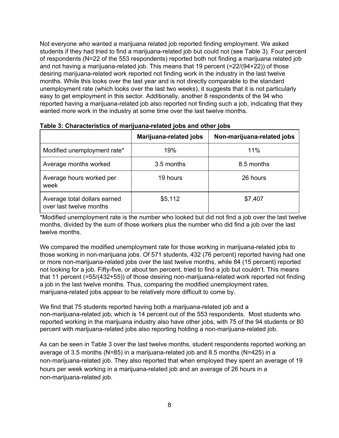Not everyone who wanted a marijuana related job reported finding employment. We asked students if they had tried to find a marijuana-related job but could not (see Table 3). Four percent of respondents (N=22 of the 553 respondents) reported both not finding a marijuana related job and not having a marijuana-related job. This means that 19 percent (= $22/(94+22)$ ) of those desiring marijuana-related work reported not finding work in the industry in the last twelve months. While this looks over the last year and is not directly comparable to the standard unemployment rate (which looks over the last two weeks), it suggests that it is not particularly easy to get employment in this sector. Additionally, another 8 respondents of the 94 who reported having a marijuana-related job also reported not finding such a job, indicating that they wanted more work in the industry at some time over the last twelve months.

|                                                         | <b>Marijuana-related jobs</b> | Non-marijuana-related jobs |
|---------------------------------------------------------|-------------------------------|----------------------------|
| Modified unemployment rate*                             | 19%                           | 11%                        |
| Average months worked                                   | 3.5 months                    | 8.5 months                 |
| Average hours worked per<br>week                        | 19 hours                      | 26 hours                   |
| Average total dollars earned<br>over last twelve months | \$5,112                       | \$7,407                    |

**Table 3: Characteristics of marijuanarelated jobs and other jobs**

\*Modified unemployment rate is the number who looked but did not find a job over the last twelve months, divided by the sum of those workers plus the number who did find a job over the last twelve months.

We compared the modified unemployment rate for those working in marijuana-related jobs to those working in non-marijuana jobs. Of 571 students, 432 (76 percent) reported having had one or more non-marijuana-related jobs over the last twelve months, while 84 (15 percent) reported not looking for a job. Fifty-five, or about ten percent, tried to find a job but couldn't. This means that 11 percent  $(=55/(432+55))$  of those desiring non-marijuana-related work reported not finding a job in the last twelve months. Thus, comparing the modified unemployment rates, marijuana-related jobs appear to be relatively more difficult to come by.

We find that 75 students reported having both a marijuana-related job and a non-marijuana-related job, which is 14 percent out of the 553 respondents. Most students who reported working in the marijuana industry also have other jobs, with 75 of the 94 students or 80 percent with marijuana-related jobs also reporting holding a non-marijuana-related job.

As can be seen in Table 3 over the last twelve months, student respondents reported working an average of 3.5 months (N=85) in a marijuana-related job and 8.5 months (N=425) in a non-marijuana-related job. They also reported that when employed they spent an average of 19 hours per week working in a marijuana-related job and an average of 26 hours in a non-marijuana-related job.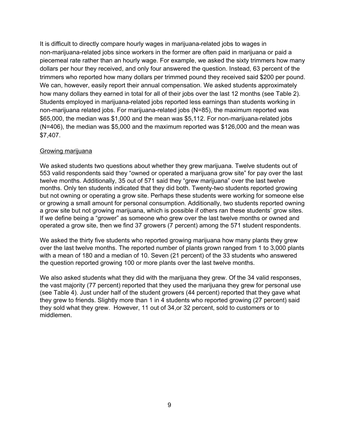It is difficult to directly compare hourly wages in marijuana-related jobs to wages in non-marijuana-related jobs since workers in the former are often paid in marijuana or paid a piecemeal rate rather than an hourly wage. For example, we asked the sixty trimmers how many dollars per hour they received, and only four answered the question. Instead, 63 percent of the trimmers who reported how many dollars per trimmed pound they received said \$200 per pound. We can, however, easily report their annual compensation. We asked students approximately how many dollars they earned in total for all of their jobs over the last 12 months (see Table 2). Students employed in marijuana-related jobs reported less earnings than students working in non-marijuana related jobs. For marijuana-related jobs ( $N=85$ ), the maximum reported was \$65,000, the median was \$1,000 and the mean was \$5,112. For non-marijuana-related jobs (N=406), the median was \$5,000 and the maximum reported was \$126,000 and the mean was \$7,407.

## Growing marijuana

We asked students two questions about whether they grew marijuana. Twelve students out of 553 valid respondents said they "owned or operated a marijuana grow site" for pay over the last twelve months. Additionally, 35 out of 571 said they "grew marijuana" over the last twelve months. Only ten students indicated that they did both. Twenty-two students reported growing but not owning or operating a grow site. Perhaps these students were working for someone else or growing a small amount for personal consumption. Additionally, two students reported owning a grow site but not growing marijuana, which is possible if others ran these students' grow sites. If we define being a "grower" as someone who grew over the last twelve months or owned and operated a grow site, then we find 37 growers (7 percent) among the 571 student respondents.

We asked the thirty five students who reported growing marijuana how many plants they grew over the last twelve months. The reported number of plants grown ranged from 1 to 3,000 plants with a mean of 180 and a median of 10. Seven (21 percent) of the 33 students who answered the question reported growing 100 or more plants over the last twelve months.

We also asked students what they did with the marijuana they grew. Of the 34 valid responses, the vast majority (77 percent) reported that they used the marijuana they grew for personal use (see Table 4). Just under half of the student growers (44 percent) reported that they gave what they grew to friends. Slightly more than 1 in 4 students who reported growing (27 percent) said they sold what they grew. However, 11 out of 34,or 32 percent, sold to customers or to middlemen.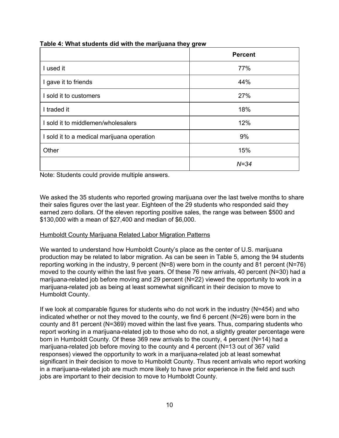|                                            | <b>Percent</b> |
|--------------------------------------------|----------------|
| I used it                                  | 77%            |
| I gave it to friends                       | 44%            |
| I sold it to customers                     | 27%            |
| I traded it                                | 18%            |
| I sold it to middlemen/wholesalers         | 12%            |
| I sold it to a medical marijuana operation | 9%             |
| Other                                      | 15%            |
|                                            | $N = 34$       |

### **Table 4: What students did with the marijuana they grew**

Note: Students could provide multiple answers.

We asked the 35 students who reported growing marijuana over the last twelve months to share their sales figures over the last year. Eighteen of the 29 students who responded said they earned zero dollars. Of the eleven reporting positive sales, the range was between \$500 and \$130,000 with a mean of \$27,400 and median of \$6,000.

# Humboldt County Marijuana Related Labor Migration Patterns

We wanted to understand how Humboldt County's place as the center of U.S. marijuana production may be related to labor migration. As can be seen in Table 5, among the 94 students reporting working in the industry, 9 percent (N=8) were born in the county and 81 percent (N=76) moved to the county within the last five years. Of these 76 new arrivals, 40 percent (N=30) had a marijuana-related job before moving and 29 percent (N=22) viewed the opportunity to work in a marijuana-related job as being at least somewhat significant in their decision to move to Humboldt County.

If we look at comparable figures for students who do not work in the industry  $(N=454)$  and who indicated whether or not they moved to the county, we find 6 percent (N=26) were born in the county and 81 percent (N=369) moved within the last five years. Thus, comparing students who report working in a marijuana-related job to those who do not, a slightly greater percentage were born in Humboldt County. Of these 369 new arrivals to the county, 4 percent (N=14) had a marijuana-related job before moving to the county and 4 percent ( $N=13$  out of 367 valid responses) viewed the opportunity to work in a marijuana-related job at least somewhat significant in their decision to move to Humboldt County. Thus recent arrivals who report working in a marijuana-related job are much more likely to have prior experience in the field and such jobs are important to their decision to move to Humboldt County.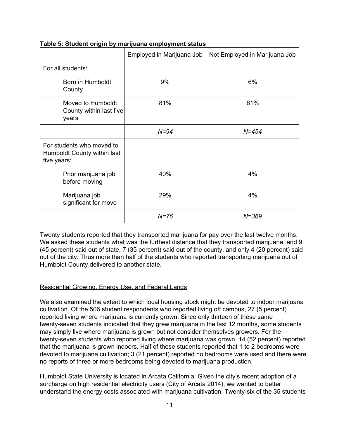|                                                                         | Employed in Marijuana Job | Not Employed in Marijuana Job |
|-------------------------------------------------------------------------|---------------------------|-------------------------------|
| For all students:                                                       |                           |                               |
| Born in Humboldt<br>County                                              | 9%                        | 6%                            |
| Moved to Humboldt<br>County within last five<br>years                   | 81%                       | 81%                           |
|                                                                         | $N = 94$                  | $N = 454$                     |
| For students who moved to<br>Humboldt County within last<br>five years: |                           |                               |
| Prior marijuana job<br>before moving                                    | 40%                       | 4%                            |
| Marijuana job<br>significant for move                                   | 29%                       | 4%                            |
|                                                                         | $N = 76$                  | $N = 369$                     |

**Table 5: Student origin by marijuana employment status**

Twenty students reported that they transported marijuana for pay over the last twelve months. We asked these students what was the furthest distance that they transported marijuana, and 9 (45 percent) said out of state, 7 (35 percent) said out of the county, and only 4 (20 percent) said out of the city. Thus more than half of the students who reported transporting marijuana out of Humboldt County delivered to another state.

### Residential Growing, Energy Use, and Federal Lands

We also examined the extent to which local housing stock might be devoted to indoor marijuana cultivation. Of the 506 student respondents who reported living off campus, 27 (5 percent) reported living where marijuana is currently grown. Since only thirteen of these same twenty-seven students indicated that they grew marijuana in the last 12 months, some students may simply live where marijuana is grown but not consider themselves growers. For the twenty-seven students who reported living where marijuana was grown, 14 (52 percent) reported that the marijuana is grown indoors. Half of these students reported that 1 to 2 bedrooms were devoted to marijuana cultivation; 3 (21 percent) reported no bedrooms were used and there were no reports of three or more bedrooms being devoted to marijuana production.

Humboldt State University is located in Arcata California. Given the city's recent adoption of a surcharge on high residential electricity users (City of Arcata 2014), we wanted to better understand the energy costs associated with marijuana cultivation. Twenty-six of the 35 students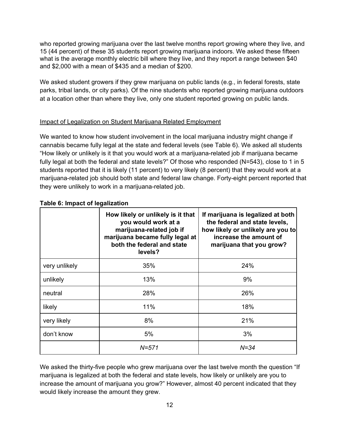who reported growing marijuana over the last twelve months report growing where they live, and 15 (44 percent) of these 35 students report growing marijuana indoors. We asked these fifteen what is the average monthly electric bill where they live, and they report a range between \$40 and \$2,000 with a mean of \$435 and a median of \$200.

We asked student growers if they grew marijuana on public lands (e.g., in federal forests, state parks, tribal lands, or city parks). Of the nine students who reported growing marijuana outdoors at a location other than where they live, only one student reported growing on public lands.

## Impact of Legalization on Student Marijuana Related Employment

We wanted to know how student involvement in the local marijuana industry might change if cannabis became fully legal at the state and federal levels (see Table 6). We asked all students "How likely or unlikely is it that you would work at a marijuanarelated job if marijuana became fully legal at both the federal and state levels?" Of those who responded (N=543), close to 1 in 5 students reported that it is likely (11 percent) to very likely (8 percent) that they would work at a marijuana-related job should both state and federal law change. Forty-eight percent reported that they were unlikely to work in a marijuana-related job.

|               | How likely or unlikely is it that<br>you would work at a<br>marijuana-related job if<br>marijuana became fully legal at<br>both the federal and state<br>levels? | If marijuana is legalized at both<br>the federal and state levels,<br>how likely or unlikely are you to<br>increase the amount of<br>marijuana that you grow? |
|---------------|------------------------------------------------------------------------------------------------------------------------------------------------------------------|---------------------------------------------------------------------------------------------------------------------------------------------------------------|
| very unlikely | 35%                                                                                                                                                              | 24%                                                                                                                                                           |
| unlikely      | 13%                                                                                                                                                              | 9%                                                                                                                                                            |
| neutral       | 28%                                                                                                                                                              | 26%                                                                                                                                                           |
| likely        | 11%                                                                                                                                                              | 18%                                                                                                                                                           |
| very likely   | 8%                                                                                                                                                               | 21%                                                                                                                                                           |
| don't know    | 5%                                                                                                                                                               | 3%                                                                                                                                                            |
|               | $N = 571$                                                                                                                                                        | $N = 34$                                                                                                                                                      |

# **Table 6: Impact of legalization**

We asked the thirty-five people who grew marijuana over the last twelve month the question "If marijuana is legalized at both the federal and state levels, how likely or unlikely are you to increase the amount of marijuana you grow?" However, almost 40 percent indicated that they would likely increase the amount they grew.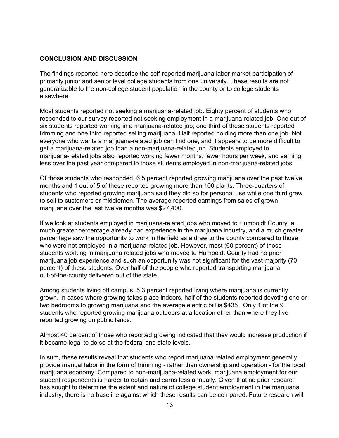#### **CONCLUSION AND DISCUSSION**

The findings reported here describe the self-reported marijuana labor market participation of primarily junior and senior level college students from one university. These results are not generalizable to the non-college student population in the county or to college students elsewhere.

Most students reported not seeking a marijuana-related job. Eighty percent of students who responded to our survey reported not seeking employment in a marijuana-related job. One out of six students reported working in a marijuana-related job; one third of these students reported trimming and one third reported selling marijuana. Half reported holding more than one job. Not everyone who wants a marijuana-related job can find one, and it appears to be more difficult to get a marijuana-related job than a non-marijuana-related job. Students employed in marijuana-related jobs also reported working fewer months, fewer hours per week, and earning less over the past year compared to those students employed in non-marijuana-related jobs.

Of those students who responded, 6.5 percent reported growing marijuana over the past twelve months and 1 out of 5 of these reported growing more than 100 plants. Three-quarters of students who reported growing marijuana said they did so for personal use while one third grew to sell to customers or middlemen. The average reported earnings from sales of grown marijuana over the last twelve months was \$27,400.

If we look at students employed in marijuana-related jobs who moved to Humboldt County, a much greater percentage already had experience in the marijuana industry, and a much greater percentage saw the opportunity to work in the field as a draw to the county compared to those who were not employed in a marijuana-related job. However, most (60 percent) of those students working in marijuana related jobs who moved to Humboldt County had no prior marijuana job experience and such an opportunity was not significant for the vast majority (70 percent) of these students. Over half of the people who reported transporting marijuana out-of-the-county delivered out of the state.

Among students living off campus, 5.3 percent reported living where marijuana is currently grown. In cases where growing takes place indoors, half of the students reported devoting one or two bedrooms to growing marijuana and the average electric bill is \$435. Only 1 of the 9 students who reported growing marijuana outdoors at a location other than where they live reported growing on public lands.

Almost 40 percent of those who reported growing indicated that they would increase production if it became legal to do so at the federal and state levels.

In sum, these results reveal that students who report marijuana related employment generally provide manual labor in the form of trimming - rather than ownership and operation - for the local marijuana economy. Compared to non-marijuana-related work, marijuana employment for our student respondents is harder to obtain and earns less annually. Given that no prior research has sought to determine the extent and nature of college student employment in the marijuana industry, there is no baseline against which these results can be compared. Future research will